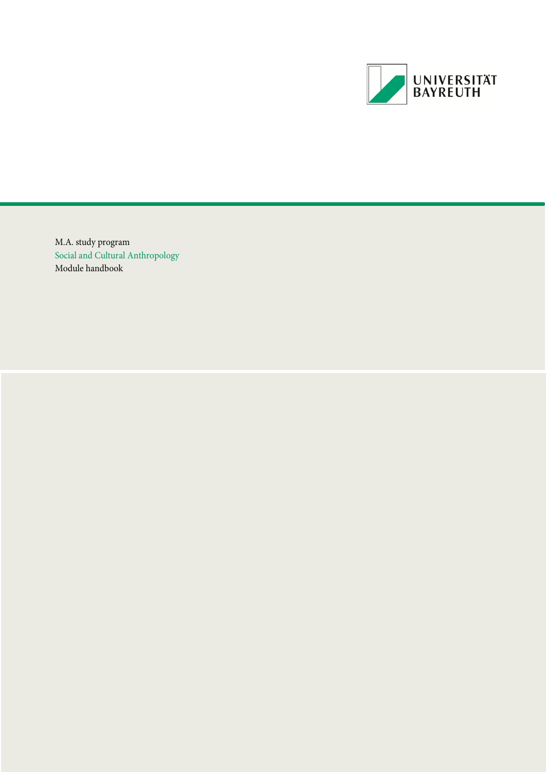

M.A. study program Social and Cultural Anthropology Module handbook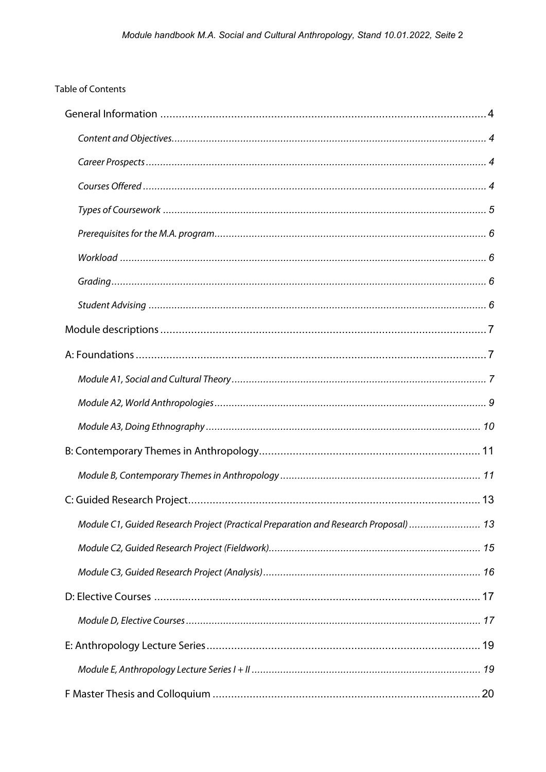# **Table of Contents**

| Module C1, Guided Research Project (Practical Preparation and Research Proposal)  13 |  |
|--------------------------------------------------------------------------------------|--|
|                                                                                      |  |
|                                                                                      |  |
|                                                                                      |  |
|                                                                                      |  |
|                                                                                      |  |
|                                                                                      |  |
|                                                                                      |  |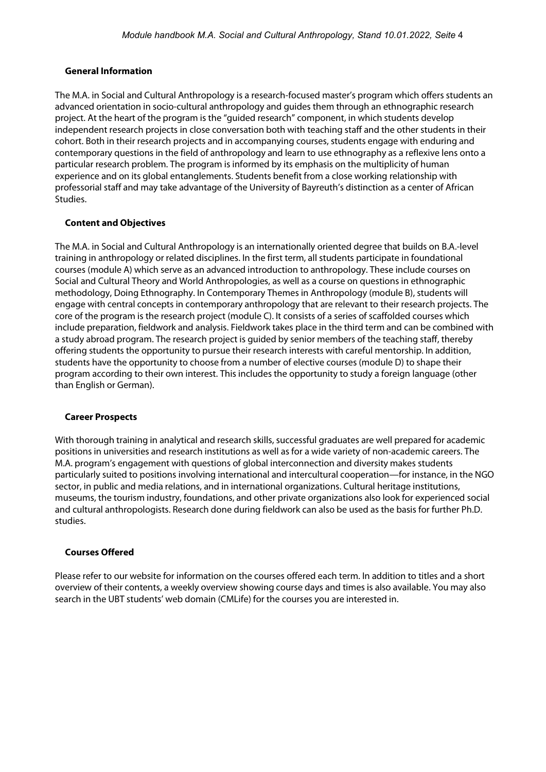### <span id="page-3-0"></span>**General Information**

The M.A. in Social and Cultural Anthropology is a research-focused master's program which offers students an advanced orientation in socio-cultural anthropology and guides them through an ethnographic research project. At the heart of the program is the "guided research" component, in which students develop independent research projects in close conversation both with teaching staff and the other students in their cohort. Both in their research projects and in accompanying courses, students engage with enduring and contemporary questions in the field of anthropology and learn to use ethnography as a reflexive lens onto a particular research problem. The program is informed by its emphasis on the multiplicity of human experience and on its global entanglements. Students benefit from a close working relationship with professorial staff and may take advantage of the University of Bayreuth's distinction as a center of African Studies.

# <span id="page-3-1"></span>**Content and Objectives**

The M.A. in Social and Cultural Anthropology is an internationally oriented degree that builds on B.A.-level training in anthropology or related disciplines. In the first term, all students participate in foundational courses (module A) which serve as an advanced introduction to anthropology. These include courses on Social and Cultural Theory and World Anthropologies, as well as a course on questions in ethnographic methodology, Doing Ethnography. In Contemporary Themes in Anthropology (module B), students will engage with central concepts in contemporary anthropology that are relevant to their research projects. The core of the program is the research project (module C). It consists of a series of scaffolded courses which include preparation, fieldwork and analysis. Fieldwork takes place in the third term and can be combined with a study abroad program. The research project is guided by senior members of the teaching staff, thereby offering students the opportunity to pursue their research interests with careful mentorship. In addition, students have the opportunity to choose from a number of elective courses (module D) to shape their program according to their own interest. This includes the opportunity to study a foreign language (other than English or German).

### <span id="page-3-2"></span>**Career Prospects**

With thorough training in analytical and research skills, successful graduates are well prepared for academic positions in universities and research institutions as well as for a wide variety of non-academic careers. The M.A. program's engagement with questions of global interconnection and diversity makes students particularly suited to positions involving international and intercultural cooperation—for instance, in the NGO sector, in public and media relations, and in international organizations. Cultural heritage institutions, museums, the tourism industry, foundations, and other private organizations also look for experienced social and cultural anthropologists. Research done during fieldwork can also be used as the basis for further Ph.D. studies.

### <span id="page-3-3"></span>**Courses Offered**

Please refer to our website for information on the courses offered each term. In addition to titles and a short overview of their contents, a weekly overview showing course days and times is also available. You may also search in the UBT students' web domain (CMLife) for the courses you are interested in.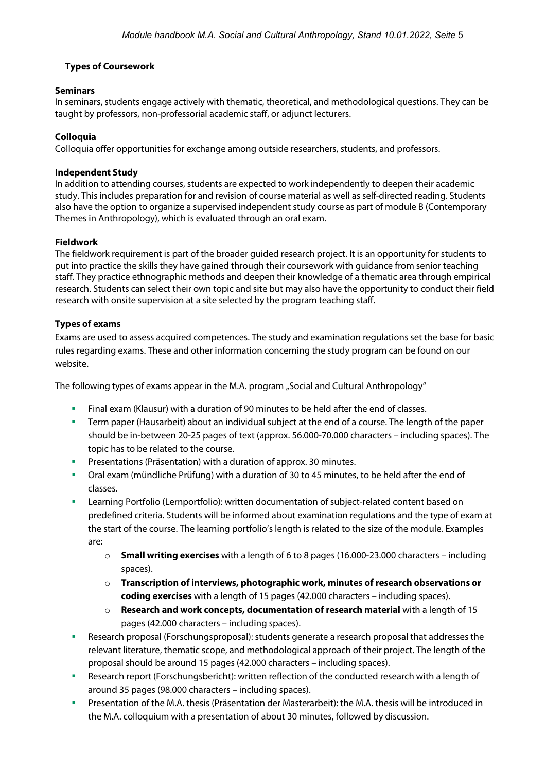# <span id="page-4-0"></span>**Types of Coursework**

### **Seminars**

In seminars, students engage actively with thematic, theoretical, and methodological questions. They can be taught by professors, non-professorial academic staff, or adjunct lecturers.

### **Colloquia**

Colloquia offer opportunities for exchange among outside researchers, students, and professors.

#### **Independent Study**

In addition to attending courses, students are expected to work independently to deepen their academic study. This includes preparation for and revision of course material as well as self-directed reading. Students also have the option to organize a supervised independent study course as part of module B (Contemporary Themes in Anthropology), which is evaluated through an oral exam.

#### **Fieldwork**

The fieldwork requirement is part of the broader guided research project. It is an opportunity for students to put into practice the skills they have gained through their coursework with guidance from senior teaching staff. They practice ethnographic methods and deepen their knowledge of a thematic area through empirical research. Students can select their own topic and site but may also have the opportunity to conduct their field research with onsite supervision at a site selected by the program teaching staff.

#### **Types of exams**

Exams are used to assess acquired competences. The study and examination regulations set the base for basic rules regarding exams. These and other information concerning the study program can be found on our website.

The following types of exams appear in the M.A. program "Social and Cultural Anthropology"

- Final exam (Klausur) with a duration of 90 minutes to be held after the end of classes.
- Term paper (Hausarbeit) about an individual subject at the end of a course. The length of the paper should be in-between 20-25 pages of text (approx. 56.000-70.000 characters – including spaces). The topic has to be related to the course.
- Presentations (Präsentation) with a duration of approx. 30 minutes.
- Oral exam (mündliche Prüfung) with a duration of 30 to 45 minutes, to be held after the end of classes.
- Learning Portfolio (Lernportfolio): written documentation of subject-related content based on predefined criteria. Students will be informed about examination regulations and the type of exam at the start of the course. The learning portfolio's length is related to the size of the module. Examples are:
	- o **Small writing exercises** with a length of 6 to 8 pages (16.000-23.000 characters including spaces).
	- o **Transcription of interviews, photographic work, minutes of research observations or coding exercises** with a length of 15 pages (42.000 characters – including spaces).
	- o **Research and work concepts, documentation of research material** with a length of 15 pages (42.000 characters – including spaces).
- Research proposal (Forschungsproposal): students generate a research proposal that addresses the relevant literature, thematic scope, and methodological approach of their project. The length of the proposal should be around 15 pages (42.000 characters – including spaces).
- Research report (Forschungsbericht): written reflection of the conducted research with a length of around 35 pages (98.000 characters – including spaces).
- Presentation of the M.A. thesis (Präsentation der Masterarbeit): the M.A. thesis will be introduced in the M.A. colloquium with a presentation of about 30 minutes, followed by discussion.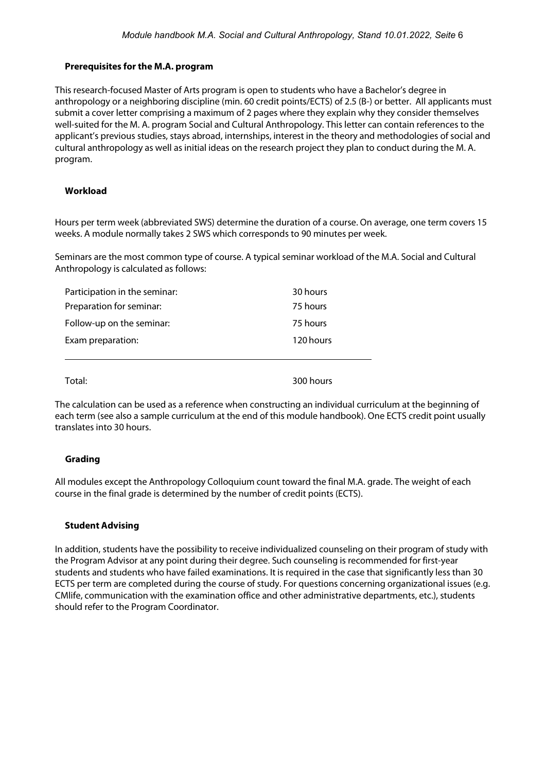### <span id="page-5-0"></span>**Prerequisites for the M.A. program**

This research-focused Master of Arts program is open to students who have a Bachelor's degree in anthropology or a neighboring discipline (min. 60 credit points/ECTS) of 2.5 (B-) or better. All applicants must submit a cover letter comprising a maximum of 2 pages where they explain why they consider themselves well-suited for the M. A. program Social and Cultural Anthropology. This letter can contain references to the applicant's previous studies, stays abroad, internships, interest in the theory and methodologies of social and cultural anthropology as well as initial ideas on the research project they plan to conduct during the M. A. program.

# <span id="page-5-1"></span>**Workload**

Hours per term week (abbreviated SWS) determine the duration of a course. On average, one term covers 15 weeks. A module normally takes 2 SWS which corresponds to 90 minutes per week.

Seminars are the most common type of course. A typical seminar workload of the M.A. Social and Cultural Anthropology is calculated as follows:

| Participation in the seminar: | 30 hours  |
|-------------------------------|-----------|
| Preparation for seminar:      | 75 hours  |
| Follow-up on the seminar:     | 75 hours  |
| Exam preparation:             | 120 hours |
| Total:                        | 300 hours |

The calculation can be used as a reference when constructing an individual curriculum at the beginning of each term (see also a sample curriculum at the end of this module handbook). One ECTS credit point usually translates into 30 hours.

### <span id="page-5-2"></span>**Grading**

All modules except the Anthropology Colloquium count toward the final M.A. grade. The weight of each course in the final grade is determined by the number of credit points (ECTS).

### <span id="page-5-3"></span>**Student Advising**

In addition, students have the possibility to receive individualized counseling on their program of study with the Program Advisor at any point during their degree. Such counseling is recommended for first-year students and students who have failed examinations. It is required in the case that significantly less than 30 ECTS per term are completed during the course of study. For questions concerning organizational issues (e.g. CMlife, communication with the examination office and other administrative departments, etc.), students should refer to the Program Coordinator.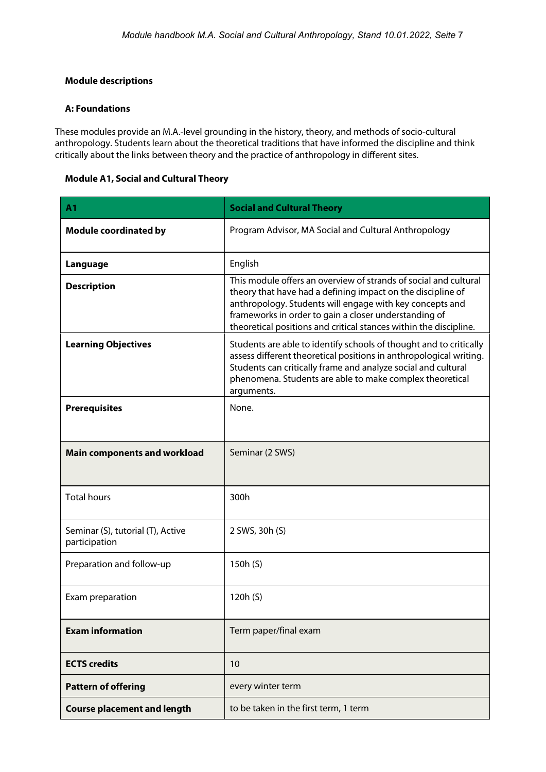# <span id="page-6-0"></span>**Module descriptions**

### <span id="page-6-1"></span>**A: Foundations**

These modules provide an M.A.-level grounding in the history, theory, and methods of socio-cultural anthropology. Students learn about the theoretical traditions that have informed the discipline and think critically about the links between theory and the practice of anthropology in different sites.

### <span id="page-6-2"></span>**Module A1, Social and Cultural Theory**

| A <sub>1</sub>                                     | <b>Social and Cultural Theory</b>                                                                                                                                                                                                                                                                                         |
|----------------------------------------------------|---------------------------------------------------------------------------------------------------------------------------------------------------------------------------------------------------------------------------------------------------------------------------------------------------------------------------|
| <b>Module coordinated by</b>                       | Program Advisor, MA Social and Cultural Anthropology                                                                                                                                                                                                                                                                      |
| Language                                           | English                                                                                                                                                                                                                                                                                                                   |
| <b>Description</b>                                 | This module offers an overview of strands of social and cultural<br>theory that have had a defining impact on the discipline of<br>anthropology. Students will engage with key concepts and<br>frameworks in order to gain a closer understanding of<br>theoretical positions and critical stances within the discipline. |
| <b>Learning Objectives</b>                         | Students are able to identify schools of thought and to critically<br>assess different theoretical positions in anthropological writing.<br>Students can critically frame and analyze social and cultural<br>phenomena. Students are able to make complex theoretical<br>arguments.                                       |
| <b>Prerequisites</b>                               | None.                                                                                                                                                                                                                                                                                                                     |
| <b>Main components and workload</b>                | Seminar (2 SWS)                                                                                                                                                                                                                                                                                                           |
| <b>Total hours</b>                                 | 300h                                                                                                                                                                                                                                                                                                                      |
| Seminar (S), tutorial (T), Active<br>participation | 2 SWS, 30h (S)                                                                                                                                                                                                                                                                                                            |
| Preparation and follow-up                          | 150h (S)                                                                                                                                                                                                                                                                                                                  |
| Exam preparation                                   | 120h (S)                                                                                                                                                                                                                                                                                                                  |
| <b>Exam information</b>                            | Term paper/final exam                                                                                                                                                                                                                                                                                                     |
| <b>ECTS</b> credits                                | 10                                                                                                                                                                                                                                                                                                                        |
| <b>Pattern of offering</b>                         | every winter term                                                                                                                                                                                                                                                                                                         |
| <b>Course placement and length</b>                 | to be taken in the first term, 1 term                                                                                                                                                                                                                                                                                     |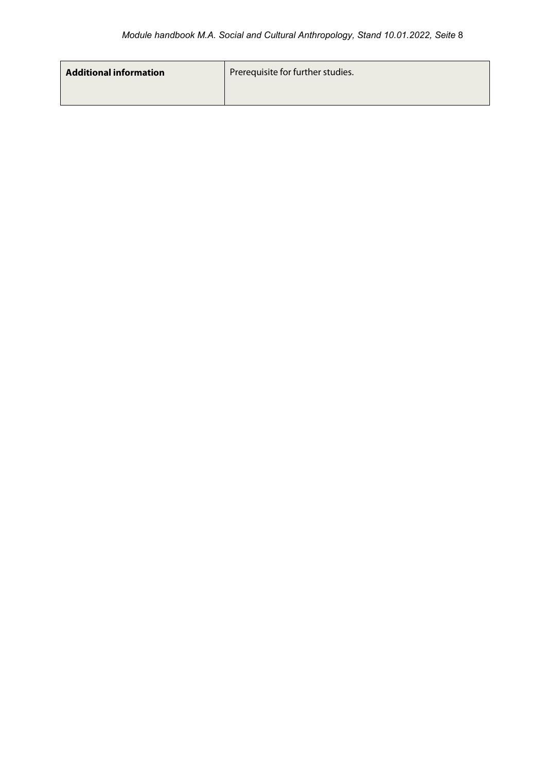| <b>Additional information</b> | Prerequisite for further studies. |
|-------------------------------|-----------------------------------|
|                               |                                   |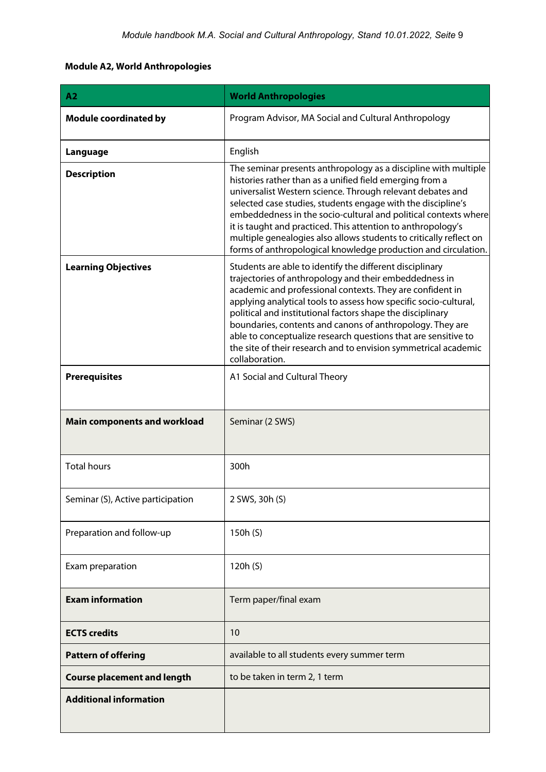# <span id="page-8-0"></span>**Module A2, World Anthropologies**

| A <sub>2</sub>                      | <b>World Anthropologies</b>                                                                                                                                                                                                                                                                                                                                                                                                                                                                                                           |
|-------------------------------------|---------------------------------------------------------------------------------------------------------------------------------------------------------------------------------------------------------------------------------------------------------------------------------------------------------------------------------------------------------------------------------------------------------------------------------------------------------------------------------------------------------------------------------------|
| <b>Module coordinated by</b>        | Program Advisor, MA Social and Cultural Anthropology                                                                                                                                                                                                                                                                                                                                                                                                                                                                                  |
| Language                            | English                                                                                                                                                                                                                                                                                                                                                                                                                                                                                                                               |
| <b>Description</b>                  | The seminar presents anthropology as a discipline with multiple<br>histories rather than as a unified field emerging from a<br>universalist Western science. Through relevant debates and<br>selected case studies, students engage with the discipline's<br>embeddedness in the socio-cultural and political contexts where<br>it is taught and practiced. This attention to anthropology's<br>multiple genealogies also allows students to critically reflect on<br>forms of anthropological knowledge production and circulation.  |
| <b>Learning Objectives</b>          | Students are able to identify the different disciplinary<br>trajectories of anthropology and their embeddedness in<br>academic and professional contexts. They are confident in<br>applying analytical tools to assess how specific socio-cultural,<br>political and institutional factors shape the disciplinary<br>boundaries, contents and canons of anthropology. They are<br>able to conceptualize research questions that are sensitive to<br>the site of their research and to envision symmetrical academic<br>collaboration. |
| <b>Prerequisites</b>                | A1 Social and Cultural Theory                                                                                                                                                                                                                                                                                                                                                                                                                                                                                                         |
| <b>Main components and workload</b> | Seminar (2 SWS)                                                                                                                                                                                                                                                                                                                                                                                                                                                                                                                       |
| <b>Total hours</b>                  | 300h                                                                                                                                                                                                                                                                                                                                                                                                                                                                                                                                  |
| Seminar (S), Active participation   | 2 SWS, 30h (S)                                                                                                                                                                                                                                                                                                                                                                                                                                                                                                                        |
| Preparation and follow-up           | 150h (S)                                                                                                                                                                                                                                                                                                                                                                                                                                                                                                                              |
| Exam preparation                    | 120h (S)                                                                                                                                                                                                                                                                                                                                                                                                                                                                                                                              |
| <b>Exam information</b>             | Term paper/final exam                                                                                                                                                                                                                                                                                                                                                                                                                                                                                                                 |
| <b>ECTS credits</b>                 | 10                                                                                                                                                                                                                                                                                                                                                                                                                                                                                                                                    |
| <b>Pattern of offering</b>          | available to all students every summer term                                                                                                                                                                                                                                                                                                                                                                                                                                                                                           |
| <b>Course placement and length</b>  | to be taken in term 2, 1 term                                                                                                                                                                                                                                                                                                                                                                                                                                                                                                         |
| <b>Additional information</b>       |                                                                                                                                                                                                                                                                                                                                                                                                                                                                                                                                       |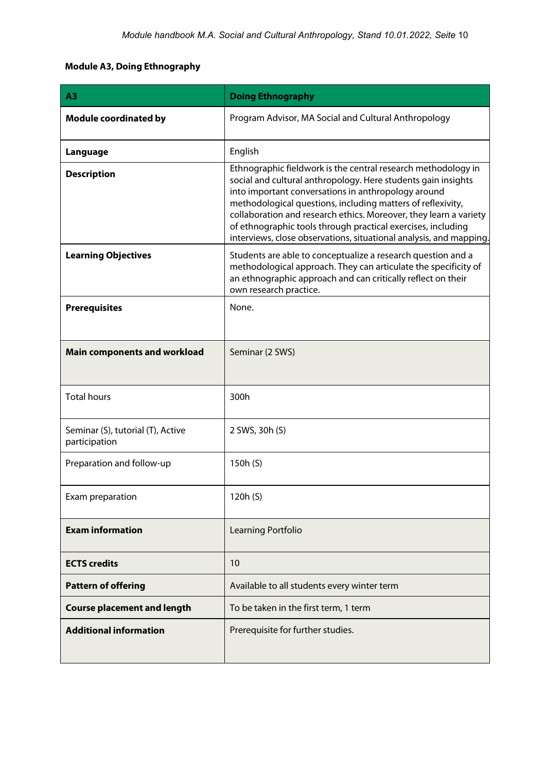# <span id="page-9-0"></span>**Module A3, Doing Ethnography**

| A3                                                 | <b>Doing Ethnography</b>                                                                                                                                                                                                                                                                                                                                                                                                                                        |
|----------------------------------------------------|-----------------------------------------------------------------------------------------------------------------------------------------------------------------------------------------------------------------------------------------------------------------------------------------------------------------------------------------------------------------------------------------------------------------------------------------------------------------|
| <b>Module coordinated by</b>                       | Program Advisor, MA Social and Cultural Anthropology                                                                                                                                                                                                                                                                                                                                                                                                            |
| Language                                           | English                                                                                                                                                                                                                                                                                                                                                                                                                                                         |
| <b>Description</b>                                 | Ethnographic fieldwork is the central research methodology in<br>social and cultural anthropology. Here students gain insights<br>into important conversations in anthropology around<br>methodological questions, including matters of reflexivity,<br>collaboration and research ethics. Moreover, they learn a variety<br>of ethnographic tools through practical exercises, including<br>interviews, close observations, situational analysis, and mapping. |
| <b>Learning Objectives</b>                         | Students are able to conceptualize a research question and a<br>methodological approach. They can articulate the specificity of<br>an ethnographic approach and can critically reflect on their<br>own research practice.                                                                                                                                                                                                                                       |
| <b>Prerequisites</b>                               | None.                                                                                                                                                                                                                                                                                                                                                                                                                                                           |
| <b>Main components and workload</b>                | Seminar (2 SWS)                                                                                                                                                                                                                                                                                                                                                                                                                                                 |
| <b>Total hours</b>                                 | 300h                                                                                                                                                                                                                                                                                                                                                                                                                                                            |
| Seminar (S), tutorial (T), Active<br>participation | 2 SWS, 30h (S)                                                                                                                                                                                                                                                                                                                                                                                                                                                  |
| Preparation and follow-up                          | 150h (S)                                                                                                                                                                                                                                                                                                                                                                                                                                                        |
| Exam preparation                                   | 120h (S)                                                                                                                                                                                                                                                                                                                                                                                                                                                        |
| <b>Exam information</b>                            | Learning Portfolio                                                                                                                                                                                                                                                                                                                                                                                                                                              |
| <b>ECTS credits</b>                                | 10                                                                                                                                                                                                                                                                                                                                                                                                                                                              |
| <b>Pattern of offering</b>                         | Available to all students every winter term                                                                                                                                                                                                                                                                                                                                                                                                                     |
| <b>Course placement and length</b>                 | To be taken in the first term, 1 term                                                                                                                                                                                                                                                                                                                                                                                                                           |
| <b>Additional information</b>                      | Prerequisite for further studies.                                                                                                                                                                                                                                                                                                                                                                                                                               |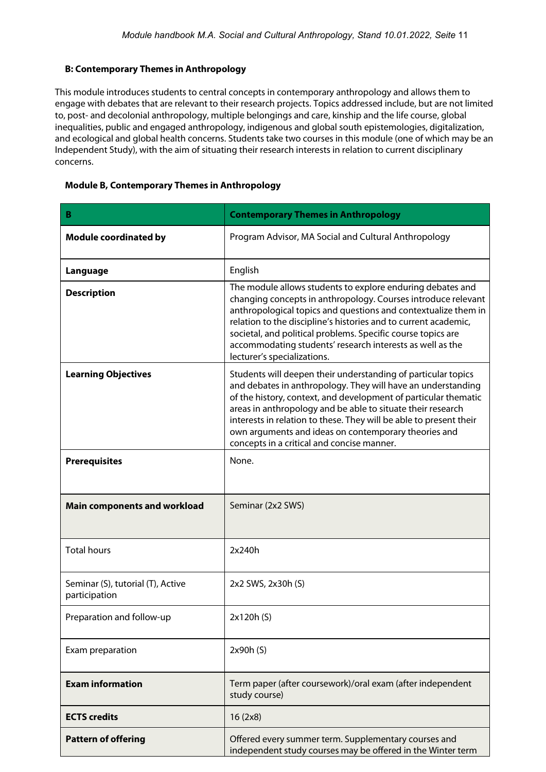# <span id="page-10-0"></span>**B: Contemporary Themes in Anthropology**

This module introduces students to central concepts in contemporary anthropology and allows them to engage with debates that are relevant to their research projects. Topics addressed include, but are not limited to, post- and decolonial anthropology, multiple belongings and care, kinship and the life course, global inequalities, public and engaged anthropology, indigenous and global south epistemologies, digitalization, and ecological and global health concerns. Students take two courses in this module (one of which may be an Independent Study), with the aim of situating their research interests in relation to current disciplinary concerns.

### <span id="page-10-1"></span>**Module B, Contemporary Themes in Anthropology**

| B                                                  | <b>Contemporary Themes in Anthropology</b>                                                                                                                                                                                                                                                                                                                                                                                                  |
|----------------------------------------------------|---------------------------------------------------------------------------------------------------------------------------------------------------------------------------------------------------------------------------------------------------------------------------------------------------------------------------------------------------------------------------------------------------------------------------------------------|
| <b>Module coordinated by</b>                       | Program Advisor, MA Social and Cultural Anthropology                                                                                                                                                                                                                                                                                                                                                                                        |
| Language                                           | English                                                                                                                                                                                                                                                                                                                                                                                                                                     |
| <b>Description</b>                                 | The module allows students to explore enduring debates and<br>changing concepts in anthropology. Courses introduce relevant<br>anthropological topics and questions and contextualize them in<br>relation to the discipline's histories and to current academic,<br>societal, and political problems. Specific course topics are<br>accommodating students' research interests as well as the<br>lecturer's specializations.                |
| <b>Learning Objectives</b>                         | Students will deepen their understanding of particular topics<br>and debates in anthropology. They will have an understanding<br>of the history, context, and development of particular thematic<br>areas in anthropology and be able to situate their research<br>interests in relation to these. They will be able to present their<br>own arguments and ideas on contemporary theories and<br>concepts in a critical and concise manner. |
| <b>Prerequisites</b>                               | None.                                                                                                                                                                                                                                                                                                                                                                                                                                       |
| <b>Main components and workload</b>                | Seminar (2x2 SWS)                                                                                                                                                                                                                                                                                                                                                                                                                           |
| <b>Total hours</b>                                 | 2x240h                                                                                                                                                                                                                                                                                                                                                                                                                                      |
| Seminar (S), tutorial (T), Active<br>participation | 2x2 SWS, 2x30h (S)                                                                                                                                                                                                                                                                                                                                                                                                                          |
| Preparation and follow-up                          | 2x120h (S)                                                                                                                                                                                                                                                                                                                                                                                                                                  |
| Exam preparation                                   | 2x90h(S)                                                                                                                                                                                                                                                                                                                                                                                                                                    |
| <b>Exam information</b>                            | Term paper (after coursework)/oral exam (after independent<br>study course)                                                                                                                                                                                                                                                                                                                                                                 |
| <b>ECTS</b> credits                                | 16(2x8)                                                                                                                                                                                                                                                                                                                                                                                                                                     |
| <b>Pattern of offering</b>                         | Offered every summer term. Supplementary courses and<br>independent study courses may be offered in the Winter term                                                                                                                                                                                                                                                                                                                         |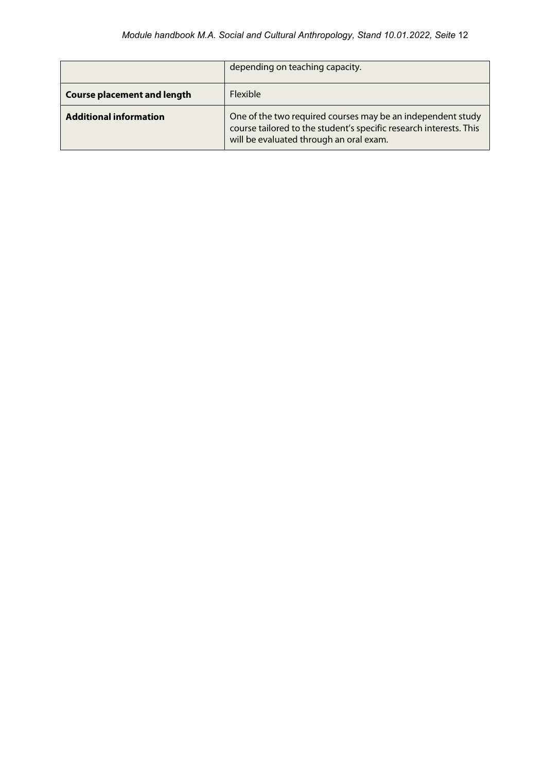|                                    | depending on teaching capacity.                                                                                                                                              |
|------------------------------------|------------------------------------------------------------------------------------------------------------------------------------------------------------------------------|
| <b>Course placement and length</b> | <b>Flexible</b>                                                                                                                                                              |
| <b>Additional information</b>      | One of the two required courses may be an independent study<br>course tailored to the student's specific research interests. This<br>will be evaluated through an oral exam. |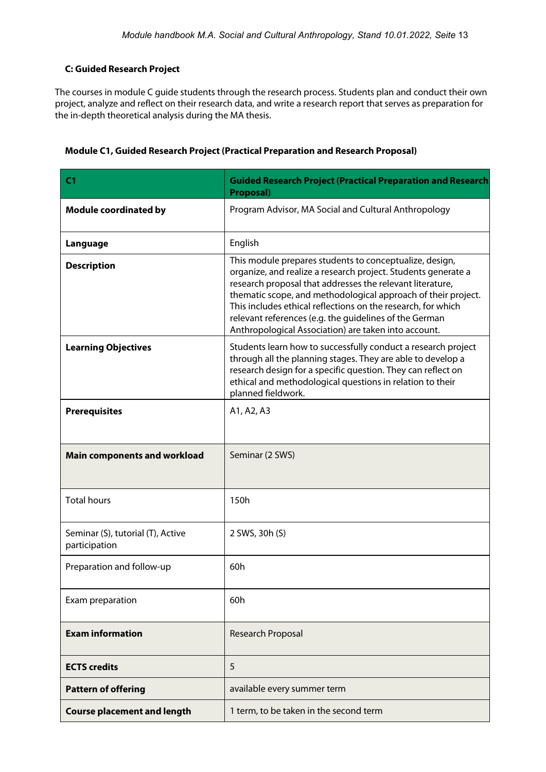# <span id="page-12-0"></span>**C: Guided Research Project**

The courses in module C guide students through the research process. Students plan and conduct their own project, analyze and reflect on their research data, and write a research report that serves as preparation for the in-depth theoretical analysis during the MA thesis.

| C <sub>1</sub>                                     | <b>Guided Research Project (Practical Preparation and Research</b><br><b>Proposal)</b>                                                                                                                                                                                                                                                                                                                                                   |
|----------------------------------------------------|------------------------------------------------------------------------------------------------------------------------------------------------------------------------------------------------------------------------------------------------------------------------------------------------------------------------------------------------------------------------------------------------------------------------------------------|
| <b>Module coordinated by</b>                       | Program Advisor, MA Social and Cultural Anthropology                                                                                                                                                                                                                                                                                                                                                                                     |
| Language                                           | English                                                                                                                                                                                                                                                                                                                                                                                                                                  |
| <b>Description</b>                                 | This module prepares students to conceptualize, design,<br>organize, and realize a research project. Students generate a<br>research proposal that addresses the relevant literature,<br>thematic scope, and methodological approach of their project.<br>This includes ethical reflections on the research, for which<br>relevant references (e.g. the guidelines of the German<br>Anthropological Association) are taken into account. |
| <b>Learning Objectives</b>                         | Students learn how to successfully conduct a research project<br>through all the planning stages. They are able to develop a<br>research design for a specific question. They can reflect on<br>ethical and methodological questions in relation to their<br>planned fieldwork.                                                                                                                                                          |
| <b>Prerequisites</b>                               | A1, A2, A3                                                                                                                                                                                                                                                                                                                                                                                                                               |
| <b>Main components and workload</b>                | Seminar (2 SWS)                                                                                                                                                                                                                                                                                                                                                                                                                          |
| <b>Total hours</b>                                 | 150h                                                                                                                                                                                                                                                                                                                                                                                                                                     |
| Seminar (S), tutorial (T), Active<br>participation | 2 SWS, 30h (S)                                                                                                                                                                                                                                                                                                                                                                                                                           |
| Preparation and follow-up                          | 60h                                                                                                                                                                                                                                                                                                                                                                                                                                      |
| Exam preparation                                   | 60h                                                                                                                                                                                                                                                                                                                                                                                                                                      |
| <b>Exam information</b>                            | <b>Research Proposal</b>                                                                                                                                                                                                                                                                                                                                                                                                                 |
| <b>ECTS</b> credits                                | 5                                                                                                                                                                                                                                                                                                                                                                                                                                        |
| <b>Pattern of offering</b>                         | available every summer term                                                                                                                                                                                                                                                                                                                                                                                                              |
| <b>Course placement and length</b>                 | 1 term, to be taken in the second term                                                                                                                                                                                                                                                                                                                                                                                                   |

# <span id="page-12-1"></span>**Module C1, Guided Research Project (Practical Preparation and Research Proposal)**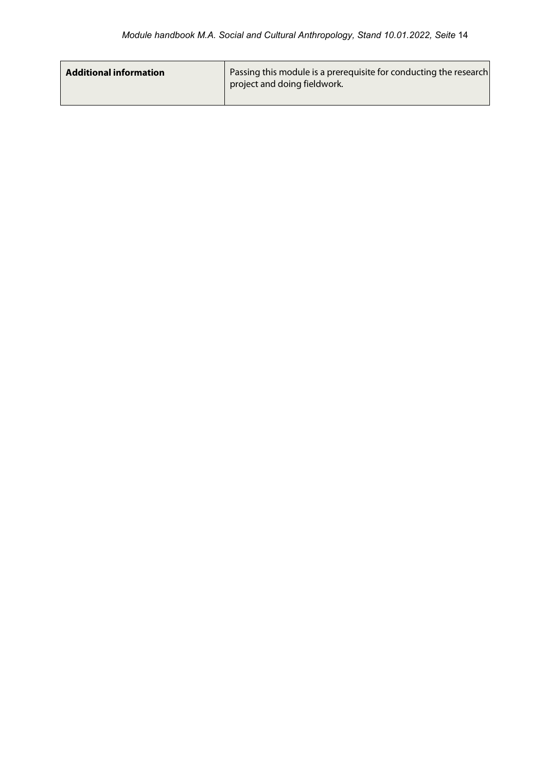| <b>Additional information</b> | Passing this module is a prerequisite for conducting the research<br>project and doing fieldwork. |
|-------------------------------|---------------------------------------------------------------------------------------------------|
|                               |                                                                                                   |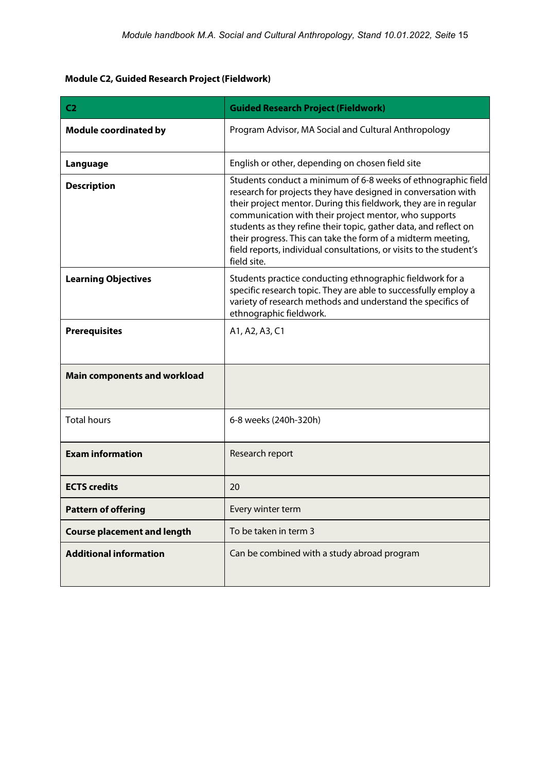# <span id="page-14-0"></span>**Module C2, Guided Research Project (Fieldwork)**

| C <sub>2</sub>                      | <b>Guided Research Project (Fieldwork)</b>                                                                                                                                                                                                                                                                                                                                                                                                                                            |
|-------------------------------------|---------------------------------------------------------------------------------------------------------------------------------------------------------------------------------------------------------------------------------------------------------------------------------------------------------------------------------------------------------------------------------------------------------------------------------------------------------------------------------------|
| <b>Module coordinated by</b>        | Program Advisor, MA Social and Cultural Anthropology                                                                                                                                                                                                                                                                                                                                                                                                                                  |
| Language                            | English or other, depending on chosen field site                                                                                                                                                                                                                                                                                                                                                                                                                                      |
| <b>Description</b>                  | Students conduct a minimum of 6-8 weeks of ethnographic field<br>research for projects they have designed in conversation with<br>their project mentor. During this fieldwork, they are in regular<br>communication with their project mentor, who supports<br>students as they refine their topic, gather data, and reflect on<br>their progress. This can take the form of a midterm meeting,<br>field reports, individual consultations, or visits to the student's<br>field site. |
| <b>Learning Objectives</b>          | Students practice conducting ethnographic fieldwork for a<br>specific research topic. They are able to successfully employ a<br>variety of research methods and understand the specifics of<br>ethnographic fieldwork.                                                                                                                                                                                                                                                                |
| <b>Prerequisites</b>                | A1, A2, A3, C1                                                                                                                                                                                                                                                                                                                                                                                                                                                                        |
| <b>Main components and workload</b> |                                                                                                                                                                                                                                                                                                                                                                                                                                                                                       |
| <b>Total hours</b>                  | 6-8 weeks (240h-320h)                                                                                                                                                                                                                                                                                                                                                                                                                                                                 |
| <b>Exam information</b>             | Research report                                                                                                                                                                                                                                                                                                                                                                                                                                                                       |
| <b>ECTS credits</b>                 | 20                                                                                                                                                                                                                                                                                                                                                                                                                                                                                    |
| <b>Pattern of offering</b>          | Every winter term                                                                                                                                                                                                                                                                                                                                                                                                                                                                     |
| <b>Course placement and length</b>  | To be taken in term 3                                                                                                                                                                                                                                                                                                                                                                                                                                                                 |
| <b>Additional information</b>       | Can be combined with a study abroad program                                                                                                                                                                                                                                                                                                                                                                                                                                           |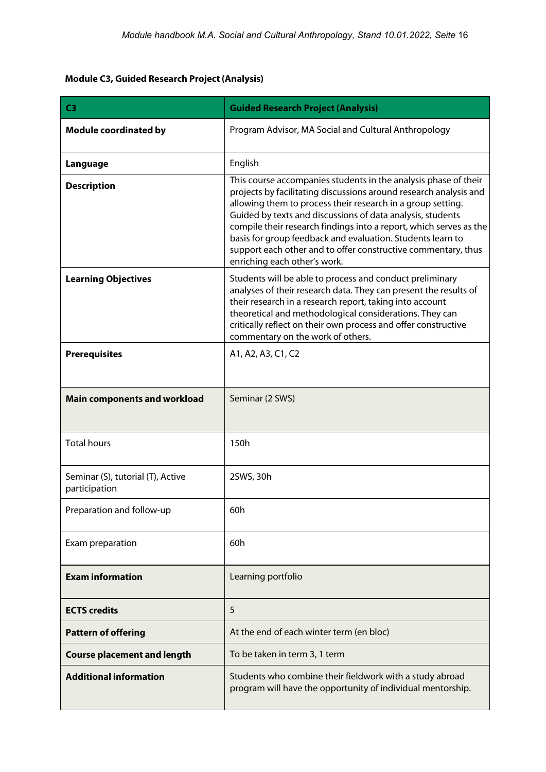# <span id="page-15-0"></span>**Module C3, Guided Research Project (Analysis)**

| C <sub>3</sub>                                     | <b>Guided Research Project (Analysis)</b>                                                                                                                                                                                                                                                                                                                                                                                                                                                              |  |  |  |
|----------------------------------------------------|--------------------------------------------------------------------------------------------------------------------------------------------------------------------------------------------------------------------------------------------------------------------------------------------------------------------------------------------------------------------------------------------------------------------------------------------------------------------------------------------------------|--|--|--|
| <b>Module coordinated by</b>                       | Program Advisor, MA Social and Cultural Anthropology                                                                                                                                                                                                                                                                                                                                                                                                                                                   |  |  |  |
| Language                                           | English                                                                                                                                                                                                                                                                                                                                                                                                                                                                                                |  |  |  |
| <b>Description</b>                                 | This course accompanies students in the analysis phase of their<br>projects by facilitating discussions around research analysis and<br>allowing them to process their research in a group setting.<br>Guided by texts and discussions of data analysis, students<br>compile their research findings into a report, which serves as the<br>basis for group feedback and evaluation. Students learn to<br>support each other and to offer constructive commentary, thus<br>enriching each other's work. |  |  |  |
| <b>Learning Objectives</b>                         | Students will be able to process and conduct preliminary<br>analyses of their research data. They can present the results of<br>their research in a research report, taking into account<br>theoretical and methodological considerations. They can<br>critically reflect on their own process and offer constructive<br>commentary on the work of others.                                                                                                                                             |  |  |  |
| <b>Prerequisites</b>                               | A1, A2, A3, C1, C2                                                                                                                                                                                                                                                                                                                                                                                                                                                                                     |  |  |  |
| <b>Main components and workload</b>                | Seminar (2 SWS)                                                                                                                                                                                                                                                                                                                                                                                                                                                                                        |  |  |  |
| <b>Total hours</b>                                 | 150h                                                                                                                                                                                                                                                                                                                                                                                                                                                                                                   |  |  |  |
| Seminar (S), tutorial (T), Active<br>participation | 2SWS, 30h                                                                                                                                                                                                                                                                                                                                                                                                                                                                                              |  |  |  |
| Preparation and follow-up                          | 60h                                                                                                                                                                                                                                                                                                                                                                                                                                                                                                    |  |  |  |
| Exam preparation                                   | 60h                                                                                                                                                                                                                                                                                                                                                                                                                                                                                                    |  |  |  |
| <b>Exam information</b>                            | Learning portfolio                                                                                                                                                                                                                                                                                                                                                                                                                                                                                     |  |  |  |
| <b>ECTS credits</b>                                | 5                                                                                                                                                                                                                                                                                                                                                                                                                                                                                                      |  |  |  |
| <b>Pattern of offering</b>                         | At the end of each winter term (en bloc)                                                                                                                                                                                                                                                                                                                                                                                                                                                               |  |  |  |
| <b>Course placement and length</b>                 | To be taken in term 3, 1 term                                                                                                                                                                                                                                                                                                                                                                                                                                                                          |  |  |  |
| <b>Additional information</b>                      | Students who combine their fieldwork with a study abroad<br>program will have the opportunity of individual mentorship.                                                                                                                                                                                                                                                                                                                                                                                |  |  |  |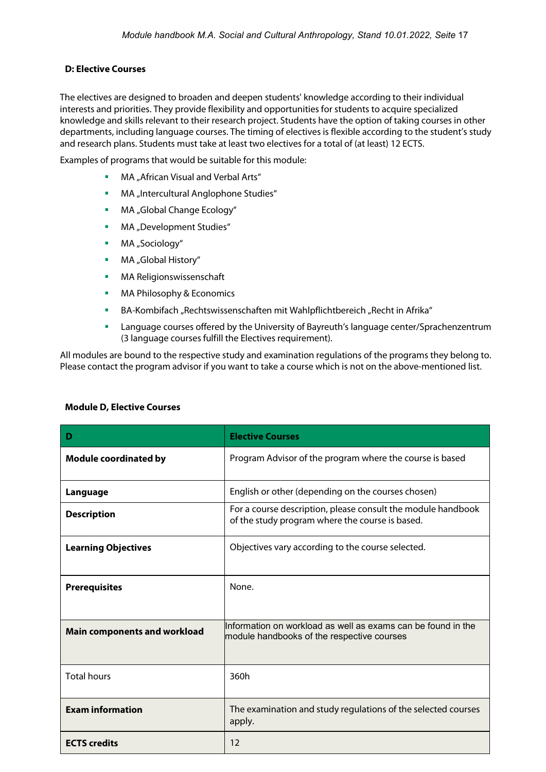# <span id="page-16-0"></span>**D: Elective Courses**

The electives are designed to broaden and deepen students' knowledge according to their individual interests and priorities. They provide flexibility and opportunities for students to acquire specialized knowledge and skills relevant to their research project. Students have the option of taking courses in other departments, including language courses. The timing of electives is flexible according to the student's study and research plans. Students must take at least two electives for a total of (at least) 12 ECTS.

Examples of programs that would be suitable for this module:

- **MA** "African Visual and Verbal Arts"
- **MA** "Intercultural Anglophone Studies"
- **MA** "Global Change Ecology"
- MA "Development Studies"
- **MA** "Sociology"
- MA "Global History"
- MA Religionswissenschaft
- MA Philosophy & Economics
- BA-Kombifach "Rechtswissenschaften mit Wahlpflichtbereich "Recht in Afrika"
- Language courses offered by the University of Bayreuth's language center/Sprachenzentrum (3 language courses fulfill the Electives requirement).

All modules are bound to the respective study and examination regulations of the programs they belong to. Please contact the program advisor if you want to take a course which is not on the above-mentioned list.

| Ð                                   | <b>Elective Courses</b>                                                                                         |
|-------------------------------------|-----------------------------------------------------------------------------------------------------------------|
| <b>Module coordinated by</b>        | Program Advisor of the program where the course is based                                                        |
| Language                            | English or other (depending on the courses chosen)                                                              |
| <b>Description</b>                  | For a course description, please consult the module handbook<br>of the study program where the course is based. |
| <b>Learning Objectives</b>          | Objectives vary according to the course selected.                                                               |
| <b>Prerequisites</b>                | None.                                                                                                           |
| <b>Main components and workload</b> | Information on workload as well as exams can be found in the<br>module handbooks of the respective courses      |
| <b>Total hours</b>                  | 360h                                                                                                            |
| <b>Exam information</b>             | The examination and study regulations of the selected courses<br>apply.                                         |
| <b>ECTS</b> credits                 | 12                                                                                                              |

### <span id="page-16-1"></span>**Module D, Elective Courses**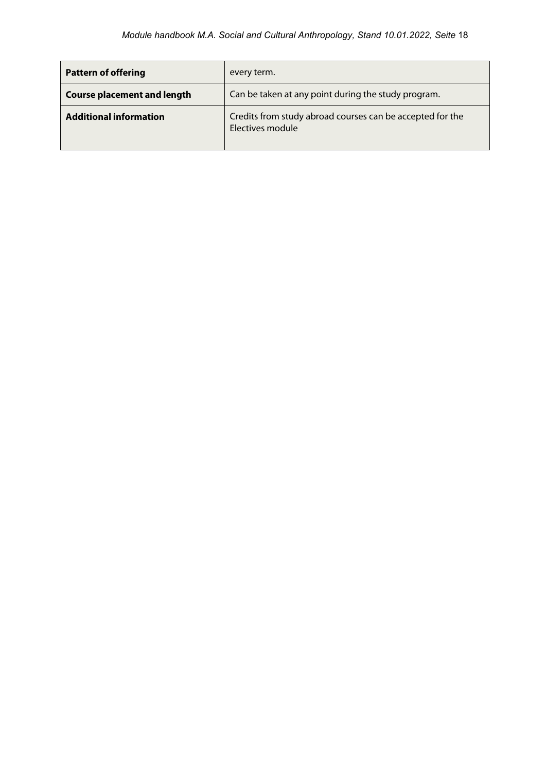| <b>Pattern of offering</b>         | every term.                                                                   |  |
|------------------------------------|-------------------------------------------------------------------------------|--|
| <b>Course placement and length</b> | Can be taken at any point during the study program.                           |  |
| <b>Additional information</b>      | Credits from study abroad courses can be accepted for the<br>Electives module |  |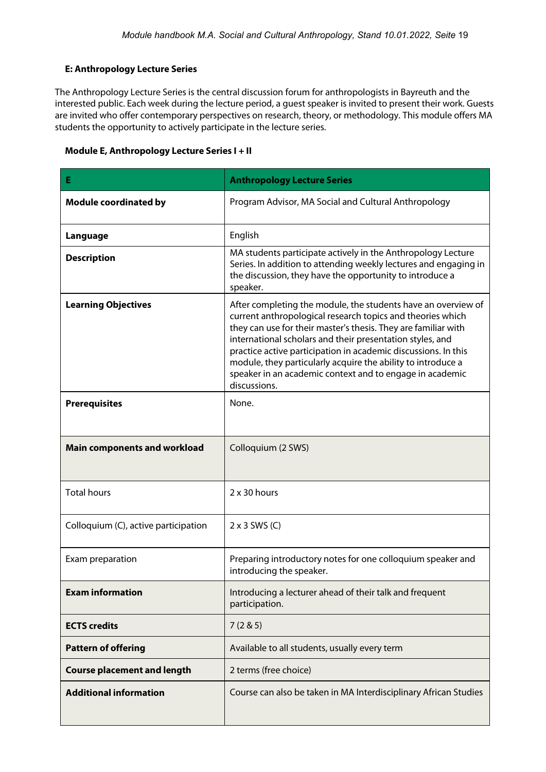# <span id="page-18-0"></span>**E: Anthropology Lecture Series**

The Anthropology Lecture Series is the central discussion forum for anthropologists in Bayreuth and the interested public. Each week during the lecture period, a guest speaker is invited to present their work. Guests are invited who offer contemporary perspectives on research, theory, or methodology. This module offers MA students the opportunity to actively participate in the lecture series.

### <span id="page-18-1"></span>**Module E, Anthropology Lecture Series I + II**

| Е                                    | <b>Anthropology Lecture Series</b>                                                                                                                                                                                                                                                                                                                                                                                                                                       |
|--------------------------------------|--------------------------------------------------------------------------------------------------------------------------------------------------------------------------------------------------------------------------------------------------------------------------------------------------------------------------------------------------------------------------------------------------------------------------------------------------------------------------|
| <b>Module coordinated by</b>         | Program Advisor, MA Social and Cultural Anthropology                                                                                                                                                                                                                                                                                                                                                                                                                     |
| Language                             | English                                                                                                                                                                                                                                                                                                                                                                                                                                                                  |
| <b>Description</b>                   | MA students participate actively in the Anthropology Lecture<br>Series. In addition to attending weekly lectures and engaging in<br>the discussion, they have the opportunity to introduce a<br>speaker.                                                                                                                                                                                                                                                                 |
| <b>Learning Objectives</b>           | After completing the module, the students have an overview of<br>current anthropological research topics and theories which<br>they can use for their master's thesis. They are familiar with<br>international scholars and their presentation styles, and<br>practice active participation in academic discussions. In this<br>module, they particularly acquire the ability to introduce a<br>speaker in an academic context and to engage in academic<br>discussions. |
| <b>Prerequisites</b>                 | None.                                                                                                                                                                                                                                                                                                                                                                                                                                                                    |
| <b>Main components and workload</b>  | Colloquium (2 SWS)                                                                                                                                                                                                                                                                                                                                                                                                                                                       |
| <b>Total hours</b>                   | $2 \times 30$ hours                                                                                                                                                                                                                                                                                                                                                                                                                                                      |
| Colloquium (C), active participation | $2 \times 3$ SWS (C)                                                                                                                                                                                                                                                                                                                                                                                                                                                     |
| Exam preparation                     | Preparing introductory notes for one colloquium speaker and<br>introducing the speaker.                                                                                                                                                                                                                                                                                                                                                                                  |
| <b>Exam information</b>              | Introducing a lecturer ahead of their talk and frequent<br>participation.                                                                                                                                                                                                                                                                                                                                                                                                |
| <b>ECTS credits</b>                  | 7(285)                                                                                                                                                                                                                                                                                                                                                                                                                                                                   |
| <b>Pattern of offering</b>           | Available to all students, usually every term                                                                                                                                                                                                                                                                                                                                                                                                                            |
| <b>Course placement and length</b>   | 2 terms (free choice)                                                                                                                                                                                                                                                                                                                                                                                                                                                    |
| <b>Additional information</b>        | Course can also be taken in MA Interdisciplinary African Studies                                                                                                                                                                                                                                                                                                                                                                                                         |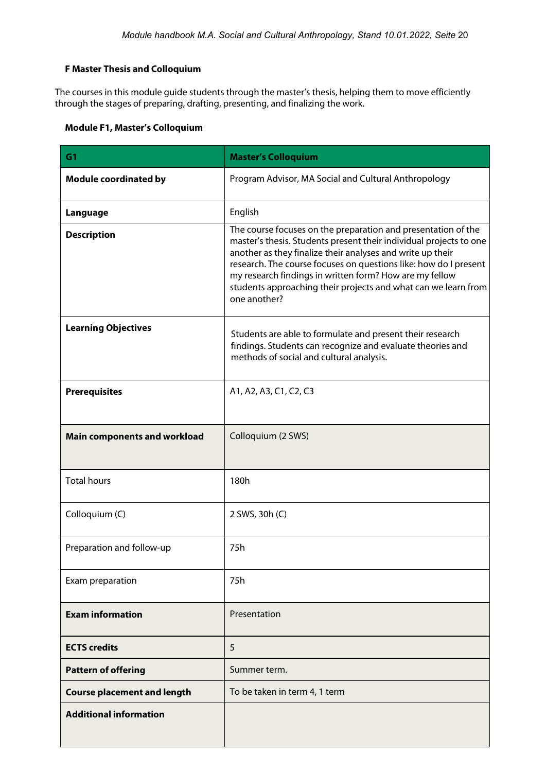# <span id="page-19-0"></span>**F Master Thesis and Colloquium**

The courses in this module guide students through the master's thesis, helping them to move efficiently through the stages of preparing, drafting, presenting, and finalizing the work.

# <span id="page-19-1"></span>**Module F1, Master's Colloquium**

| G <sub>1</sub>                      | <b>Master's Colloquium</b>                                                                                                                                                                                                                                                                                                                                                                                         |
|-------------------------------------|--------------------------------------------------------------------------------------------------------------------------------------------------------------------------------------------------------------------------------------------------------------------------------------------------------------------------------------------------------------------------------------------------------------------|
| <b>Module coordinated by</b>        | Program Advisor, MA Social and Cultural Anthropology                                                                                                                                                                                                                                                                                                                                                               |
| Language                            | English                                                                                                                                                                                                                                                                                                                                                                                                            |
| <b>Description</b>                  | The course focuses on the preparation and presentation of the<br>master's thesis. Students present their individual projects to one<br>another as they finalize their analyses and write up their<br>research. The course focuses on questions like: how do I present<br>my research findings in written form? How are my fellow<br>students approaching their projects and what can we learn from<br>one another? |
| <b>Learning Objectives</b>          | Students are able to formulate and present their research<br>findings. Students can recognize and evaluate theories and<br>methods of social and cultural analysis.                                                                                                                                                                                                                                                |
| <b>Prerequisites</b>                | A1, A2, A3, C1, C2, C3                                                                                                                                                                                                                                                                                                                                                                                             |
| <b>Main components and workload</b> | Colloquium (2 SWS)                                                                                                                                                                                                                                                                                                                                                                                                 |
| <b>Total hours</b>                  | 180h                                                                                                                                                                                                                                                                                                                                                                                                               |
| Colloquium (C)                      | 2 SWS, 30h (C)                                                                                                                                                                                                                                                                                                                                                                                                     |
| Preparation and follow-up           | 75h                                                                                                                                                                                                                                                                                                                                                                                                                |
| Exam preparation                    | 75h                                                                                                                                                                                                                                                                                                                                                                                                                |
| <b>Exam information</b>             | Presentation                                                                                                                                                                                                                                                                                                                                                                                                       |
| <b>ECTS</b> credits                 | 5                                                                                                                                                                                                                                                                                                                                                                                                                  |
| <b>Pattern of offering</b>          | Summer term.                                                                                                                                                                                                                                                                                                                                                                                                       |
| <b>Course placement and length</b>  | To be taken in term 4, 1 term                                                                                                                                                                                                                                                                                                                                                                                      |
| <b>Additional information</b>       |                                                                                                                                                                                                                                                                                                                                                                                                                    |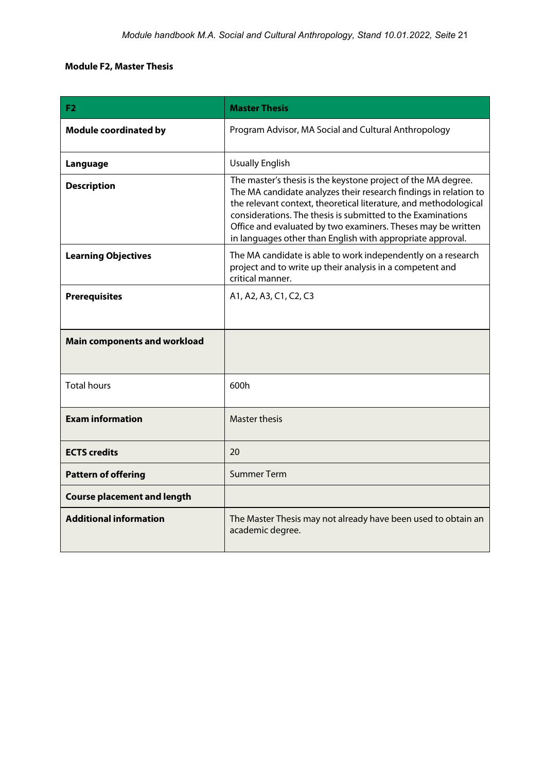# <span id="page-20-0"></span>**Module F2, Master Thesis**

| F <sub>2</sub>                      | <b>Master Thesis</b>                                                                                                                                                                                                                                                                                                                                                                               |
|-------------------------------------|----------------------------------------------------------------------------------------------------------------------------------------------------------------------------------------------------------------------------------------------------------------------------------------------------------------------------------------------------------------------------------------------------|
| <b>Module coordinated by</b>        | Program Advisor, MA Social and Cultural Anthropology                                                                                                                                                                                                                                                                                                                                               |
| Language                            | <b>Usually English</b>                                                                                                                                                                                                                                                                                                                                                                             |
| <b>Description</b>                  | The master's thesis is the keystone project of the MA degree.<br>The MA candidate analyzes their research findings in relation to<br>the relevant context, theoretical literature, and methodological<br>considerations. The thesis is submitted to the Examinations<br>Office and evaluated by two examiners. Theses may be written<br>in languages other than English with appropriate approval. |
| <b>Learning Objectives</b>          | The MA candidate is able to work independently on a research<br>project and to write up their analysis in a competent and<br>critical manner.                                                                                                                                                                                                                                                      |
| <b>Prerequisites</b>                | A1, A2, A3, C1, C2, C3                                                                                                                                                                                                                                                                                                                                                                             |
| <b>Main components and workload</b> |                                                                                                                                                                                                                                                                                                                                                                                                    |
| <b>Total hours</b>                  | 600h                                                                                                                                                                                                                                                                                                                                                                                               |
| <b>Exam information</b>             | <b>Master thesis</b>                                                                                                                                                                                                                                                                                                                                                                               |
| <b>ECTS</b> credits                 | 20                                                                                                                                                                                                                                                                                                                                                                                                 |
| <b>Pattern of offering</b>          | <b>Summer Term</b>                                                                                                                                                                                                                                                                                                                                                                                 |
| <b>Course placement and length</b>  |                                                                                                                                                                                                                                                                                                                                                                                                    |
| <b>Additional information</b>       | The Master Thesis may not already have been used to obtain an<br>academic degree.                                                                                                                                                                                                                                                                                                                  |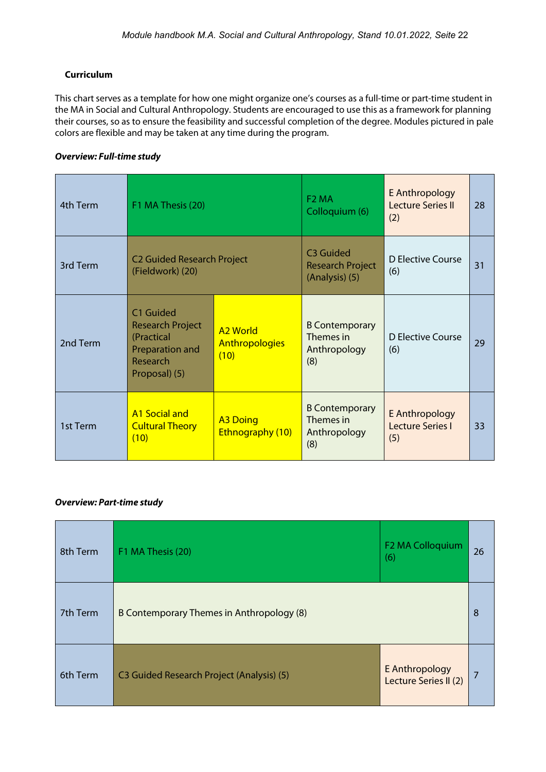# <span id="page-21-0"></span>**Curriculum**

This chart serves as a template for how one might organize one's courses as a full-time or part-time student in the MA in Social and Cultural Anthropology. Students are encouraged to use this as a framework for planning their courses, so as to ensure the feasibility and successful completion of the degree. Modules pictured in pale colors are flexible and may be taken at any time during the program.

### *Overview: Full-time study*

| 4th Term | F1 MA Thesis (20)                                                                                  |                                                  | F <sub>2</sub> MA<br>Colloquium (6)                                | E Anthropology<br><b>Lecture Series II</b><br>(2) | 28 |
|----------|----------------------------------------------------------------------------------------------------|--------------------------------------------------|--------------------------------------------------------------------|---------------------------------------------------|----|
| 3rd Term | <b>C2 Guided Research Project</b><br>(Fieldwork) (20)                                              |                                                  | C <sub>3</sub> Guided<br><b>Research Project</b><br>(Analysis) (5) | D Elective Course<br>(6)                          | 31 |
| 2nd Term | C1 Guided<br><b>Research Project</b><br>(Practical<br>Preparation and<br>Research<br>Proposal) (5) | <b>A2 World</b><br><b>Anthropologies</b><br>(10) | <b>B Contemporary</b><br>Themes in<br>Anthropology<br>(8)          | D Elective Course<br>(6)                          | 29 |
| 1st Term | <b>A1 Social and</b><br><b>Cultural Theory</b><br>(10)                                             | <b>A3 Doing</b><br>Ethnography (10)              | <b>B Contemporary</b><br>Themes in<br>Anthropology<br>(8)          | E Anthropology<br>Lecture Series I<br>(5)         | 33 |

### *Overview: Part-time study*

| 8th Term | F1 MA Thesis (20)                         | F2 MA Colloquium<br>(6)                 | 26 |
|----------|-------------------------------------------|-----------------------------------------|----|
| 7th Term | B Contemporary Themes in Anthropology (8) |                                         | 8  |
| 6th Term | C3 Guided Research Project (Analysis) (5) | E Anthropology<br>Lecture Series II (2) |    |